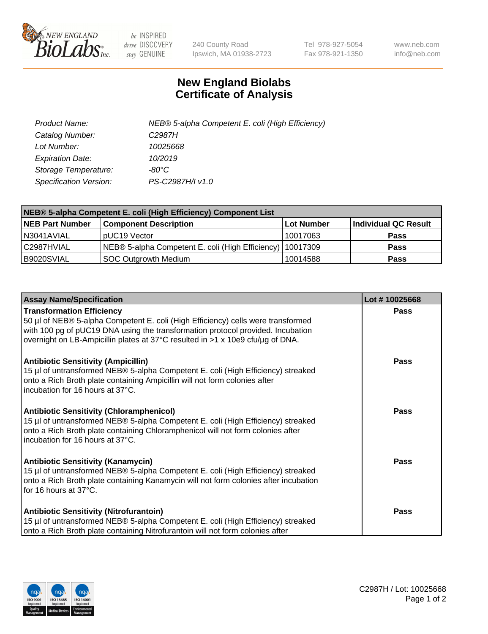

 $be$  INSPIRED drive DISCOVERY stay GENUINE

240 County Road Ipswich, MA 01938-2723 Tel 978-927-5054 Fax 978-921-1350 www.neb.com info@neb.com

## **New England Biolabs Certificate of Analysis**

| Product Name:           | NEB® 5-alpha Competent E. coli (High Efficiency) |
|-------------------------|--------------------------------------------------|
| Catalog Number:         | C <sub>2987</sub> H                              |
| Lot Number:             | 10025668                                         |
| <b>Expiration Date:</b> | 10/2019                                          |
| Storage Temperature:    | -80°C                                            |
| Specification Version:  | PS-C2987H/I v1.0                                 |

| NEB® 5-alpha Competent E. coli (High Efficiency) Component List |                                                             |                   |                      |  |
|-----------------------------------------------------------------|-------------------------------------------------------------|-------------------|----------------------|--|
| <b>NEB Part Number</b>                                          | <b>Component Description</b>                                | <b>Lot Number</b> | Individual QC Result |  |
| N3041AVIAL                                                      | pUC19 Vector                                                | 10017063          | <b>Pass</b>          |  |
| C2987HVIAL                                                      | NEB® 5-alpha Competent E. coli (High Efficiency)   10017309 |                   | <b>Pass</b>          |  |
| B9020SVIAL                                                      | SOC Outgrowth Medium                                        | 10014588          | <b>Pass</b>          |  |

| <b>Assay Name/Specification</b>                                                                                                                                                                                                                                                           | Lot #10025668 |
|-------------------------------------------------------------------------------------------------------------------------------------------------------------------------------------------------------------------------------------------------------------------------------------------|---------------|
| <b>Transformation Efficiency</b><br>50 µl of NEB® 5-alpha Competent E. coli (High Efficiency) cells were transformed<br>with 100 pg of pUC19 DNA using the transformation protocol provided. Incubation<br>overnight on LB-Ampicillin plates at 37°C resulted in >1 x 10e9 cfu/µg of DNA. | Pass          |
| <b>Antibiotic Sensitivity (Ampicillin)</b><br>15 µl of untransformed NEB® 5-alpha Competent E. coli (High Efficiency) streaked<br>onto a Rich Broth plate containing Ampicillin will not form colonies after<br>incubation for 16 hours at 37°C.                                          | <b>Pass</b>   |
| <b>Antibiotic Sensitivity (Chloramphenicol)</b><br>15 µl of untransformed NEB® 5-alpha Competent E. coli (High Efficiency) streaked<br>onto a Rich Broth plate containing Chloramphenicol will not form colonies after<br>incubation for 16 hours at 37°C.                                | Pass          |
| <b>Antibiotic Sensitivity (Kanamycin)</b><br>15 µl of untransformed NEB® 5-alpha Competent E. coli (High Efficiency) streaked<br>onto a Rich Broth plate containing Kanamycin will not form colonies after incubation<br>for 16 hours at 37°C.                                            | Pass          |
| <b>Antibiotic Sensitivity (Nitrofurantoin)</b><br>15 µl of untransformed NEB® 5-alpha Competent E. coli (High Efficiency) streaked<br>onto a Rich Broth plate containing Nitrofurantoin will not form colonies after                                                                      | Pass          |